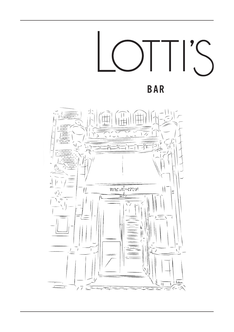

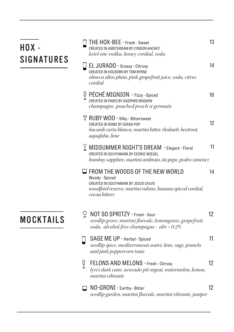| HOX -<br><b>SIGNATURES</b> | THE HOX-BEE - Fresh - Sweet<br>CREATED IN AMSTERDAM BY LYNDON HACHEY<br>ketel one vodka, honey cordial, soda                                                                 | 13 |
|----------------------------|------------------------------------------------------------------------------------------------------------------------------------------------------------------------------|----|
|                            | EL JURADO - Grassy - Citrusy<br>CREATED IN HOLBORN BY TOM BYRNE<br>olmeca altos plata, pink grapefruit juice, soda, citrus<br>cordial                                        | 14 |
|                            | Q PÉCHÉ MIGNION - Fizzy - Spiced<br>CREATED IN PARIS BY GASPARD MIGNON<br>champagne, poached peach st germain                                                                | 16 |
|                            | <b>T RUBY WOO - Silky - Bittersweet</b><br>CREATED IN ROME BY IOANA POP<br>bacardi carta blanca, martini bitter, rhubarb. beetroot,<br>aquafaba, lime                        | 12 |
|                            | $\angle$ MIDSUMMER NIGHT'S DREAM - Elegant - Floral<br>CREATED IN SOUTHWARK BY CEDRIC WIEGEL<br>bombay sapphire, martini ambrato, tio pepe, pedro ximénez                    | 11 |
|                            | $\Box$ FROM THE WOODS OF THE NEW WORLD<br>Woody - Spiced<br>CREATED IN SOUTHWARK BY JESUS CALVO<br>woodford reserve, martini rubino, banana spiced cordial,<br>cocoa bitters | 14 |
| <b>MOCKTAILS</b>           | $\bigcirc$ NOT SO SPRITZY - Fresh - Sour<br>seedlip grove, martini floreale, lemongrass, grapefruit,<br>soda, alcohol-free champagne - $abv < 0.2\%$                         | 12 |
|                            | SAGE ME UP - Herbal - Spiced<br>seedlip spice, mediterranean water, lime, sage, pomelo<br>and pink peppercorn tonic                                                          | 11 |
| Q                          | FELONS AND MELONS - Fresh - Citrusy<br>lyre's dark cane, avocado-pit orgeat, watermelon, lemon,<br>martini vibrante                                                          | 12 |
|                            | NO-GRONI - Earthy - Bitter<br>seedlip garden, martini floreale, martini vibrante, juniper                                                                                    | 12 |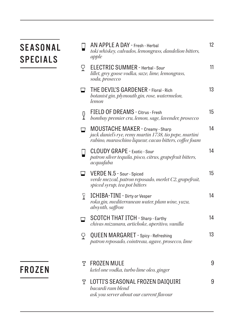# **SEASONAL** SPECIALS

|        | AN APPLE A DAY - Fresh - Herbal<br>toki whiskey, calvados, lemongrass, dandelion bitters,<br>apple                                                          | 12     |
|--------|-------------------------------------------------------------------------------------------------------------------------------------------------------------|--------|
| P      | ELECTRIC SUMMER - Herbal - Sour<br>lillet, grey goose vodka, suze, lime, lemongrass,<br>soda, prosecco                                                      | 11     |
|        | THE DEVIL'S GARDENER - Floral - Rich<br>botanist gin, plymouth gin, rose, watermelon,<br>lemon                                                              | 13     |
| Ϋ      | FIELD OF DREAMS - Citrus - Fresh<br>bombay premier cru, lemon, sage, lavender, prosecco                                                                     | 15     |
|        | <b>MOUSTACHE MAKER - Creamy - Sharp</b><br>jack daniel's rye, remy martin 1738, tio pepe, martini<br>rubino, maraschino liqueur, cacao bitters, coffee foam | 14     |
|        | <b>CLOUDY GRAPE - Exotic - Sour</b><br>patron silver tequila, pisco, citrus, grapefruit bitters,<br>acquafaba                                               | 14     |
| $\Box$ | VERDE N.5 - Sour - Spiced<br>verde mezcal, patron reposado, merlet C2, grapefruit,<br>spiced syrup, tea pot bitters                                         | $15\,$ |
| Y      | ICHIBA-TINI - Dirty or Vesper<br>roku gin, mediterranean water, plum wine, yuzu,<br>absynth, saffron                                                        | 14     |
|        | <b>SCOTCH THAT ITCH - Sharp - Earthy</b><br>chivas mizunara, artichoke, aperitivo, vanilla                                                                  | 14     |
| P      | <b>QUEEN MARGARET - Spicy - Refreshing</b><br>patron reposado, cointreau, agave, prosecco, lime                                                             | 13     |
| Y      | <b>FROZEN MULE</b><br>ketel one vodka, turbo lime oleo, ginger                                                                                              | 9      |
| Y      | LOTTI'S SEASONAL FROZEN DAIQUIRI<br>bacardi rum blend<br>ask you server about our current flavour                                                           | 9      |

## FROZEN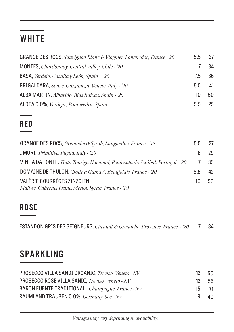# **WHITE**

| GRANGE DES ROCS, Sauvignon Blanc & Viognier, Languedoc, France - 20 | 5.5 | 27  |
|---------------------------------------------------------------------|-----|-----|
| MONTES, Chardonnay, Central Valley, Chile - '20                     |     | 34  |
| <b>BASA</b> , Verdejo, Castilla y León, Spain - '20                 | 7.5 | -36 |
| BRIGALDARA, Soave, Garganega, Veneto, Italy - '20                   | 8.5 | 41  |
| ALBA MARTIN, Albariño, Rias Baixas, Spain - '20                     | 10  | 50  |
| ALDEA 0.0%, Verdejo, Pontevedra, Spain                              | 5.5 | 25  |

#### RED

| <b>GRANGE DES ROCS</b> , Grenache & Syrah, Languedoc, France - '18           |     | 27 |
|------------------------------------------------------------------------------|-----|----|
| I MURI, Primitivo, Puglia, Italy - '20                                       |     | 29 |
| VINHA DA FONTE, Tinto Touriga Nacional, Península de Setúbal, Portugal - '20 |     | 33 |
| <b>DOMAINE DE THULON,</b> "Boite a Gamay", Beaujolais, France - 20           | 8.5 | 42 |
| VALÉRIE COURRÈGES ZINZOLIN,                                                  | 10  | 50 |
| Malbec, Cabernet Franc, Merlot, Syrah, France - '19                          |     |    |

## **ROSE**

ESTANDON GRIS DES SEIGNEURS, *Cinsault & Grenache, Provence, France - '20* 7 34

# SPARKLING

| PROSECCO VILLA SANDI ORGANIC, Treviso, Veneto - NV | 12 | 50   |
|----------------------------------------------------|----|------|
| PROSECCO ROSE VILLA SANDI, Treviso, Veneto - NV    | 12 | -55  |
| BARON FUENTE TRADITIONAL, Champagne, France - NV   | 15 | - 71 |
| RAUMLAND TRAUBEN 0.0%, Germany, Sec - NV           |    | 40   |

 *Vintages may vary depending on availability.*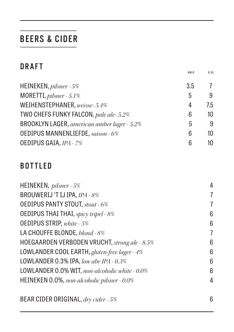## BEERS & CIDER

|--|--|

|                                             | HALF | 0.51 |
|---------------------------------------------|------|------|
| HEINEKEN, pilsner - 5%                      | 3.5  | 7    |
| MORETTI, pilsner - 5.1%                     | 5    | 9    |
| WEIHENSTEPHANER, weisse- 5.4%               | 4    | 7.5  |
| TWO CHEFS FUNKY FALCON, pale ale-5.2%       | 6    | 10   |
| BROOKLYN LAGER, american amber lager - 5.2% | 5    | 9    |
| <b>OEDIPUS MANNENLIEFDE, saison - 6%</b>    | 6    | 10   |
| OEDIPUS GAIA, IPA - 7%                      | 6    | 10   |

#### BOTTLED

|                                                | 4 |
|------------------------------------------------|---|
| HEINEKEN, pilsner - 5%                         |   |
| BROUWERIJ 'T IJ IPA, IPA - 8%                  | 7 |
| <b>OEDIPUS PANTY STOUT, stout - 6%</b>         | 7 |
| <b>OEDIPUS THAI THAI</b> , spicy tripel - 8%   | 6 |
| <b>OEDIPUS STRIP, white - 5%</b>               | 6 |
| LA CHOUFFE BLONDE, blond - 8%                  | 7 |
| HOEGAARDEN VERBODEN VRUCHT, strong ale - 8.5%  | 6 |
| LOWLANDER COOL EARTH, gluten-free lager - 4%   | 6 |
| LOWLANDER 0.3% IPA, low abv IPA - $0.3\%$      | 6 |
| LOWLANDER 0.0% WIT, non-alcoholic white - 0.0% | 6 |
| HEINEKEN 0.0%, non-alcoholic pilsner - 0.0%    | 4 |
| BEAR CIDER ORIGINAL, dry cider - 5%            | 6 |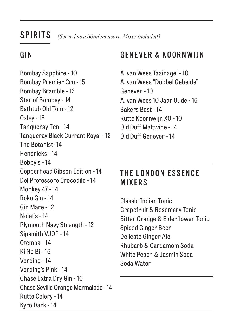SPIRITS *(Served as a 50ml measure. Mixer included)*

## G I N

Bombay Sapphire - 10 Bombay Premier Cru - 15 Bombay Bramble - 12 Star of Bombay - 14 Bathtub Old Tom - 12 Oxley - 16 Tanqueray Ten - 14 Tanqueray Black Currant Royal - 12 The Botanist- 14 Hendricks - 14 Bobby's - 14 Copperhead Gibson Edition - 14 Del Professore Crocodile - 14 Monkey 47 - 14 Roku Gin - 14 Gin Mare - 12 Nolet's - 14 Plymouth Navy Strength - 12 Sipsmith VJOP - 14 Otemba - 14 Ki No Bi - 16 Vording - 14 Vording's Pink - 14 Chase Extra Dry Gin - 10 Chase Seville Orange Marmalade - 14 Rutte Celery - 14 Kyro Dark - 14

#### GENEVER & KOORNWIJN

A. van Wees Taainagel - 10 A. van Wees "Dubbel Gebeide" Genever - 10 A. van Wees 10 Jaar Oude - 16 Bakers Best - 14 Rutte Koornwijn XO - 10 Old Duff Maltwine - 14 Old Duff Genever - 14

## THE LONDON ESSENCE MIXERS

Classic Indian Tonic Grapefruit & Rosemary Tonic Bitter Orange & Elderflower Tonic Spiced Ginger Beer Delicate Ginger Ale Rhubarb & Cardamom Soda White Peach & Jasmin Soda Soda Water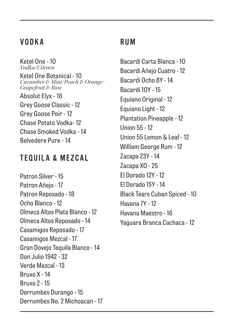#### VODKA

Ketel One - 10 *Vodka/Citroen* Ketel One Botanical - 10 *Cucumber & Mint/Peach & Orange/ Grapefruit & Rose* Absolut Elyx - 16 Grey Goose Classic - 12 Grey Goose Poir - 12 Chase Potato Vodka- 12 Chase Smoked Vodka - 14 Belvedere Pure - 14

#### TEQUILA & MEZCAL

Patron Silver - 15 Patron Añejo - 17 Patron Reposado - 18 Ocho Blanco - 12 Olmeca Altos Plata Blanco - 12 Olmeca Altos Reposado - 14 Casamigos Reposado - 17 Casamigos Mezcal - 17 Gran Dovejo Tequila Blanco - 14 Don Julio 1942 - 32 Verde Mezcal - 13 Bruxo X - 14 Bruxo 2 - 15 Derrumbes Durango - 15 Derrumbes No. 2 Michoacan - 17

#### RUM

Bacardi Carta Blanca - 10 Bacardi Añejo Cuatro - 12 Bacardi Ocho 8Y - 14 Bacardi 10Y - 15 Equiano Original - 12 Equiano Light - 12 Plantation Pineapple - 12 Union 55 - 12 Union 55 Lemon & Leaf - 12 William George Rum - 12 Zacapa 23Y - 14 Zacapa XO - 25 El Dorado 12Y - 12 El Dorado 15Y - 14 Black Tears Cuban Spiced - 10 Havana 7Y - 12 Havana Maestro - 16 Yaguara Branca Cachaca - 12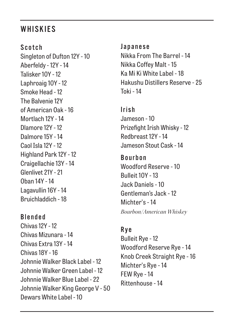#### **WHISKIES**

Scotch Singleton of Dufton 12Y - 10 Aberfeldy - 12Y - 14 Talisker 10Y - 12 Laphroaig 10Y - 12 Smoke Head - 12 The Balvenie 12Y of American Oak - 16 Mortlach 12Y - 14 Dlamore 12Y - 12 Dalmore 15Y - 14 Caol Isla 12Y - 12 Highland Park 12Y - 12 Craigellachie 13Y - 14 Glenlivet 21Y - 21 Oban 14Y - 14 Lagavullin 16Y - 14 Bruichladdich - 18

Blended Chivas 12Y - 12 Chivas Mizunara - 14 Chivas Extra 13Y - 14 Chivas 18Y - 16 Johnnie Walker Black Label - 12 Johnnie Walker Green Label - 12 Johnnie Walker Blue Label - 22 Johnnie Walker King George V - 50 Dewars White Label - 10

Japanese Nikka From The Barrel - 14 Nikka Coffey Malt - 15 Ka Mi Ki White Label - 18 Hakushu Distillers Reserve - 25 Toki - 14

Irish Jameson - 10 Prizefight Irish Whisky - 12 Redbreast 12Y - 14 Jameson Stout Cask - 14

**Bourhon** Woodford Reserve - 10 Bulleit 10Y - 13 Jack Daniels - 10 Gentleman's Jack - 12 Michter's - 14 *Bourbon/American Whiskey*

#### Rye

Bulleit Rye - 12 Woodford Reserve Rye - 14 Knob Creek Straight Rye - 16 Michter's Rye - 14 FEW Rye - 14 Rittenhouse - 14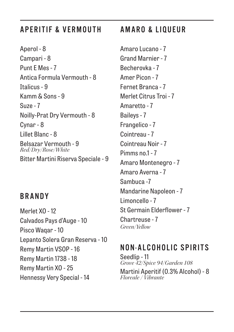### APERITIF & VERMOUTH

Aperol - 8 Campari - 8 Punt E Mes - 7 Antica Formula Vermouth - 8 Italicus - 9 Kamm & Sons - 9 Suze - 7 Noilly-Prat Dry Vermouth - 8 Cynar - 8 Lillet Blanc - 8 Belsazar Vermouth - 9 *Red/Dry/Rose/White* Bitter Martini Riserva Speciale - 9

#### BRANDY

Merlet XO - 12 Calvados Pays d'Auge - 10 Pisco Waqar - 10 Lepanto Solera Gran Reserva - 10 Remy Martin VSOP - 16 Remy Martin 1738 - 18 Remy Martin XO - 25 Hennessy Very Special - 14

## AMARO & LIQUEUR

Amaro Lucano - 7 Grand Marnier - 7 Becherovka - 7 Amer Picon - 7 Fernet Branca - 7 Merlet Citrus Troi - 7 Amaretto - 7 Baileys - 7 Frangelico - 7 Cointreau - 7 Cointreau Noir - 7 Pimms no.1 - 7 Amaro Montenegro - 7 Amaro Averna - 7 Sambuca -7 Mandarine Napoleon - 7 Limoncello - 7 St Germain Elderflower - 7 Chartreuse - 7 *Green/Yellow*

#### NON-ALCOHOLIC SPIRITS

Seedlip - 11 *Grove 42/Spice 94/Garden 108* Martini Aperitif (0.3% Alcohol) - 8 *Floreale / Vibrante*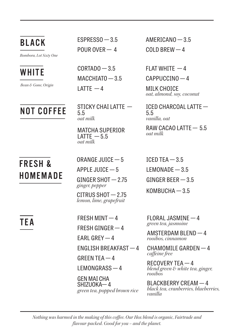*Bombora, Lot Sixty One*



## **FRFSH & HOMEMADE**

BLACK ESPRESSO - 3.5 POUR OVER — 4

 $WHITE$   $CORTADO - 3.5$  $MACCHIATO - 3.5$ LATTE — 4 *Bean & Gone, Origin*

 $\overline{NOT}$  COFFFF STICKY CHAI LATTE – 5.5 *oat milk*

> MATCHA SUPERIOR  $LATTE - 5.5$ *oat milk*

ORANGE JUICE — 5

APPLE JUICE — 5

GINGER SHOT — 2.75 *ginger, pepper*

CITRUS SHOT — 2.75 *lemon, lime, grapefruit*

FRESH MINT — 4 FRESH GINGER — 4 EARL GREY — 4 ENGLISH BREAKFAST — 4 GREEN TEA $-4$ LEMONGRASS — 4 GEN MAI CHA

 $SHIZUOKA-4$ *green tea, popped brown rice* AMERICANO — 3.5  $COI$  D BRFW  $-4$ 

FI AT WHITE  $-4$ 

CAPPUCCINO — 4

MILK CHOICE *oat, almond, soy, coconut*

ICED CHARCOAL LATTE — 5.5 *vanilla, oat*

RAW CACAO LATTE — 5.5 *oat milk*

ICED TEA  $-3.5$ LEMONADE — 3.5 GINGER BEER — 3.5 KOMBUCHA — 3.5

**TEA** FRESH MINT  $-4$  FLORAL JASMINE  $-4$ *green tea, jasmoine*

> AMSTERDAM BLEND — 4 *rooibos, cinnamon*

CHAMOMILE GARDEN — 4 *caffeine free*

RECOVERY TEA — 4 *blend green & white tea, ginger, rooibos*

BLACKBERRY CREAM — 4 *black tea, cranberries, blueberries, vanilla*

*Nothing was harmed in the making of this coffee. Our Hox blend is organic, Fairtrade and flavour-packed. Good for you – and the planet.*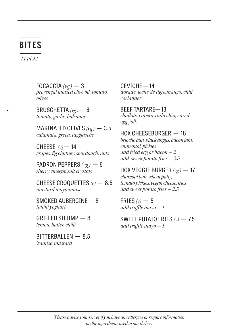## BITES

*11 til 22*

FOCACCIA  $(\nu g)$  - 3 *provençal infused olive oil, tomato, olives*

BRUSCHETTA *(vg )* — 6 *tomato, garlic, balsamic*

MARINATED OLIVES *(vg )* — 3.5 *calamata, green, taggiasche* 

CHEESE  $(v)$  – 14 *grapes, fig chutney, sourdough, nuts*

PADRON PEPPERS *(vg )* — 6 *sherry vinegar, salt crystals*

CHEESE CROQUETTES *(v)* — 8.5 *mustard mayonnaise* 

SMOKED AUBERGINE — 8 *tahini yoghurt*

GRILLED SHRIMP — 8 *lemon, butter, chilli*

BITTERBALLEN — 8.5 *'zaanse' mustard*

CEVICHE — 14 *dorade, leche de tigre,mango, chili, coriander*

BEEF TARTARE— 13 *shallots, capers, radicchio, cured egg yolk*

#### HOX CHEESEBURGER — 18

*brioche bun, black angus, bacon jam, emmental, pickles add fried egg or bacon - 2 add sweet potato fries - 2.5* 

HOX VEGGIE BURGER *(vg )* — 17 *charcoal bun, wheat patty, tomato,pickles, vegan cheese, fries add sweet potato fries - 2.5*

FRIES  $(v)$  - 5 *add truffle mayo - 1*

SWEET POTATO FRIES *(v)* — 7.5 *add truffle mayo - 1*